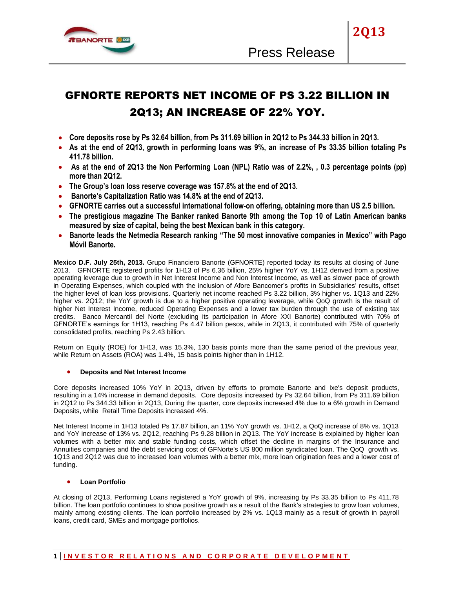

**2Q13**

# GFNORTE REPORTS NET INCOME OF PS 3.22 BILLION IN 2Q13; AN INCREASE OF 22% YOY.

- **Core deposits rose by Ps 32.64 billion, from Ps 311.69 billion in 2Q12 to Ps 344.33 billion in 2Q13.**
- **As at the end of 2Q13, growth in performing loans was 9%, an increase of Ps 33.35 billion totaling Ps 411.78 billion.**
- **As at the end of 2Q13 the Non Performing Loan (NPL) Ratio was of 2.2%, , 0.3 percentage points (pp) more than 2Q12.**
- **The Group's loan loss reserve coverage was 157.8% at the end of 2Q13.**
- **Banorte's Capitalization Ratio was 14.8% at the end of 2Q13.**
- **GFNORTE carries out a successful international follow-on offering, obtaining more than US 2.5 billion.**
- **The prestigious magazine The Banker ranked Banorte 9th among the Top 10 of Latin American banks measured by size of capital, being the best Mexican bank in this category.**
- **Banorte leads the Netmedia Research ranking "The 50 most innovative companies in Mexico" with Pago Móvil Banorte.**

**Mexico D.F. July 25th, 2013.** Grupo Financiero Banorte (GFNORTE) reported today its results at closing of June 2013. GFNORTE registered profits for 1H13 of Ps 6.36 billion, 25% higher YoY vs. 1H12 derived from a positive operating leverage due to growth in Net Interest Income and Non Interest Income, as well as slower pace of growth in Operating Expenses, which coupled with the inclusion of Afore Bancomer's profits in Subsidiaries' results, offset the higher level of loan loss provisions. Quarterly net income reached Ps 3.22 billion, 3% higher vs. 1Q13 and 22% higher vs. 2Q12; the YoY growth is due to a higher positive operating leverage, while QoQ growth is the result of higher Net Interest Income, reduced Operating Expenses and a lower tax burden through the use of existing tax credits. Banco Mercantil del Norte (excluding its participation in Afore XXI Banorte) contributed with 70% of GFNORTE's earnings for 1H13, reaching Ps 4.47 billion pesos, while in 2Q13, it contributed with 75% of quarterly consolidated profits, reaching Ps 2.43 billion.

Return on Equity (ROE) for 1H13, was 15.3%, 130 basis points more than the same period of the previous year, while Return on Assets (ROA) was 1.4%, 15 basis points higher than in 1H12.

# **Deposits and Net Interest Income**

Core deposits increased 10% YoY in 2Q13, driven by efforts to promote Banorte and Ixe's deposit products, resulting in a 14% increase in demand deposits. Core deposits increased by Ps 32.64 billion, from Ps 311.69 billion in 2Q12 to Ps 344.33 billion in 2Q13, During the quarter, core deposits increased 4% due to a 6% growth in Demand Deposits, while Retail Time Deposits increased 4%.

Net Interest Income in 1H13 totaled Ps 17.87 billion, an 11% YoY growth vs. 1H12, a QoQ increase of 8% vs. 1Q13 and YoY increase of 13% vs. 2Q12, reaching Ps 9.28 billion in 2Q13. The YoY increase is explained by higher loan volumes with a better mix and stable funding costs, which offset the decline in margins of the Insurance and Annuities companies and the debt servicing cost of GFNorte's US 800 million syndicated loan. The QoQ growth vs. 1Q13 and 2Q12 was due to increased loan volumes with a better mix, more loan origination fees and a lower cost of funding.

# **Loan Portfolio**

At closing of 2Q13, Performing Loans registered a YoY growth of 9%, increasing by Ps 33.35 billion to Ps 411.78 billion. The loan portfolio continues to show positive growth as a result of the Bank's strategies to grow loan volumes, mainly among existing clients. The loan portfolio increased by 2% vs. 1Q13 mainly as a result of growth in payroll loans, credit card, SMEs and mortgage portfolios.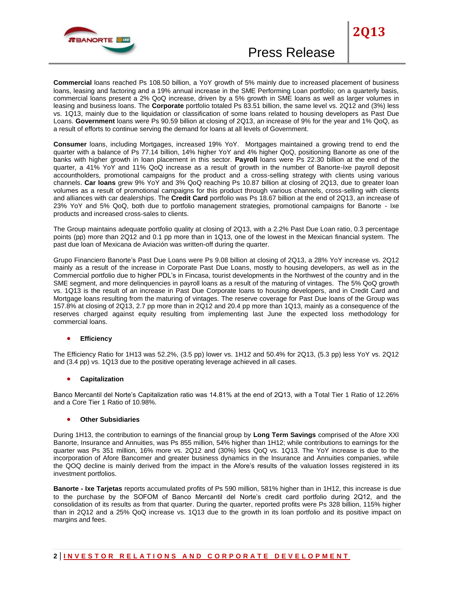

**Commercial** loans reached Ps 108.50 billion, a YoY growth of 5% mainly due to increased placement of business loans, leasing and factoring and a 19% annual increase in the SME Performing Loan portfolio; on a quarterly basis, commercial loans present a 2% QoQ increase, driven by a 5% growth in SME loans as well as larger volumes in leasing and business loans. The **Corporate** portfolio totaled Ps 83.51 billion, the same level vs. 2Q12 and (3%) less vs. 1Q13, mainly due to the liquidation or classification of some loans related to housing developers as Past Due Loans. **Government** loans were Ps 90.59 billion at closing of 2Q13, an increase of 9% for the year and 1% QoQ, as a result of efforts to continue serving the demand for loans at all levels of Government.

**Consumer** loans, including Mortgages, increased 19% YoY. Mortgages maintained a growing trend to end the quarter with a balance of Ps 77.14 billion, 14% higher YoY and 4% higher QoQ, positioning Banorte as one of the banks with higher growth in loan placement in this sector. **Payroll** loans were Ps 22.30 billion at the end of the quarter, a 41% YoY and 11% QoQ increase as a result of growth in the number of Banorte-Ixe payroll deposit accountholders, promotional campaigns for the product and a cross-selling strategy with clients using various channels. **Car loans** grew 9% YoY and 3% QoQ reaching Ps 10.87 billion at closing of 2Q13, due to greater loan volumes as a result of promotional campaigns for this product through various channels, cross-selling with clients and alliances with car dealerships. The **Credit Card** portfolio was Ps 18.67 billion at the end of 2Q13, an increase of 23% YoY and 5% QoQ, both due to portfolio management strategies, promotional campaigns for Banorte - Ixe products and increased cross-sales to clients.

The Group maintains adequate portfolio quality at closing of 2Q13, with a 2.2% Past Due Loan ratio, 0.3 percentage points (pp) more than 2Q12 and 0.1 pp more than in 1Q13, one of the lowest in the Mexican financial system. The past due loan of Mexicana de Aviación was written-off during the quarter.

Grupo Financiero Banorte's Past Due Loans were Ps 9.08 billion at closing of 2Q13, a 28% YoY increase vs. 2Q12 mainly as a result of the increase in Corporate Past Due Loans, mostly to housing developers, as well as in the Commercial portfolio due to higher PDL's in Fincasa, tourist developments in the Northwest of the country and in the SME segment, and more delinquencies in payroll loans as a result of the maturing of vintages. The 5% QoQ growth vs. 1Q13 is the result of an increase in Past Due Corporate loans to housing developers, and in Credit Card and Mortgage loans resulting from the maturing of vintages. The reserve coverage for Past Due loans of the Group was 157.8% at closing of 2Q13, 2.7 pp more than in 2Q12 and 20.4 pp more than 1Q13, mainly as a consequence of the reserves charged against equity resulting from implementing last June the expected loss methodology for commercial loans.

# **Efficiency**

The Efficiency Ratio for 1H13 was 52.2%, (3.5 pp) lower vs. 1H12 and 50.4% for 2Q13, (5.3 pp) less YoY vs. 2Q12 and (3.4 pp) vs. 1Q13 due to the positive operating leverage achieved in all cases.

# **Capitalization**

Banco Mercantil del Norte's Capitalization ratio was 14.81% at the end of 2Q13, with a Total Tier 1 Ratio of 12.26% and a Core Tier 1 Ratio of 10.98%.

#### **Other Subsidiaries**

During 1H13, the contribution to earnings of the financial group by **Long Term Savings** comprised of the Afore XXI Banorte, Insurance and Annuities, was Ps 855 million, 54% higher than 1H12; while contributions to earnings for the quarter was Ps 351 million, 16% more vs. 2Q12 and (30%) less QoQ vs. 1Q13. The YoY increase is due to the incorporation of Afore Bancomer and greater business dynamics in the Insurance and Annuities companies, while the QOQ decline is mainly derived from the impact in the Afore's results of the valuation losses registered in its investment portfolios.

**Banorte - Ixe Tarjetas** reports accumulated profits of Ps 590 million, 581% higher than in 1H12, this increase is due to the purchase by the SOFOM of Banco Mercantil del Norte's credit card portfolio during 2Q12, and the consolidation of its results as from that quarter. During the quarter, reported profits were Ps 328 billion, 115% higher than in 2Q12 and a 25% QoQ increase vs. 1Q13 due to the growth in its loan portfolio and its positive impact on margins and fees.

# **2 | I N V E S T O R R E L A T I O N S A N D C O R P O R A T E D E V E L O P M E N T**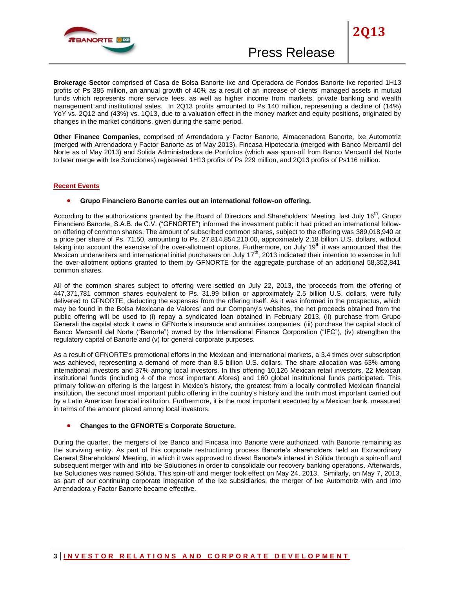

**2Q13**

**Brokerage Sector** comprised of Casa de Bolsa Banorte Ixe and Operadora de Fondos Banorte-Ixe reported 1H13 profits of Ps 385 million, an annual growth of 40% as a result of an increase of clients' managed assets in mutual funds which represents more service fees, as well as higher income from markets, private banking and wealth management and institutional sales. In 2Q13 profits amounted to Ps 140 million, representing a decline of (14%) YoY vs. 2Q12 and (43%) vs. 1Q13, due to a valuation effect in the money market and equity positions, originated by changes in the market conditions, given during the same period.

**Other Finance Companies**, comprised of Arrendadora y Factor Banorte, Almacenadora Banorte, Ixe Automotriz (merged with Arrendadora y Factor Banorte as of May 2013), Fincasa Hipotecaria (merged with Banco Mercantil del Norte as of May 2013) and Solida Administradora de Portfolios (which was spun-off from Banco Mercantil del Norte to later merge with Ixe Soluciones) registered 1H13 profits of Ps 229 million, and 2Q13 profits of Ps116 million.

#### **Recent Events**

#### **Grupo Financiero Banorte carries out an international follow-on offering.**

According to the authorizations granted by the Board of Directors and Shareholders' Meeting, last July 16<sup>th</sup>, Grupo Financiero Banorte, S.A.B. de C.V. ("GFNORTE") informed the investment public it had priced an international followon offering of common shares. The amount of subscribed common shares, subject to the offering was 389,018,940 at a price per share of Ps. 71.50, amounting to Ps. 27,814,854,210.00, approximately 2.18 billion U.S. dollars, without taking into account the exercise of the over-allotment options. Furthermore, on July 19<sup>th</sup> it was announced that the Mexican underwriters and international initial purchasers on July 17<sup>th</sup>, 2013 indicated their intention to exercise in full the over-allotment options granted to them by GFNORTE for the aggregate purchase of an additional 58,352,841 common shares.

All of the common shares subject to offering were settled on July 22, 2013, the proceeds from the offering of 447,371,781 common shares equivalent to Ps. 31.99 billion or approximately 2.5 billion U.S. dollars, were fully delivered to GFNORTE, deducting the expenses from the offering itself. As it was informed in the prospectus, which may be found in the Bolsa Mexicana de Valores' and our Company's websites, the net proceeds obtained from the public offering will be used to (i) repay a syndicated loan obtained in February 2013, (ii) purchase from Grupo Generali the capital stock it owns in GFNorte's insurance and annuities companies, (iii) purchase the capital stock of Banco Mercantil del Norte ("Banorte") owned by the International Finance Corporation ("IFC"), (iv) strengthen the regulatory capital of Banorte and (v) for general corporate purposes.

As a result of GFNORTE's promotional efforts in the Mexican and international markets, a 3.4 times over subscription was achieved, representing a demand of more than 8.5 billion U.S. dollars. The share allocation was 63% among international investors and 37% among local investors. In this offering 10,126 Mexican retail investors, 22 Mexican institutional funds (including 4 of the most important Afores) and 160 global institutional funds participated. This primary follow-on offering is the largest in Mexico's history, the greatest from a locally controlled Mexican financial institution, the second most important public offering in the country's history and the ninth most important carried out by a Latin American financial institution. Furthermore, it is the most important executed by a Mexican bank, measured in terms of the amount placed among local investors.

#### **Changes to the GFNORTE's Corporate Structure.**

During the quarter, the mergers of Ixe Banco and Fincasa into Banorte were authorized, with Banorte remaining as the surviving entity. As part of this corporate restructuring process Banorte's shareholders held an Extraordinary General Shareholders' Meeting, in which it was approved to divest Banorte's interest in Sólida through a spin-off and subsequent merger with and into Ixe Soluciones in order to consolidate our recovery banking operations. Afterwards, Ixe Soluciones was named Sólida. This spin-off and merger took effect on May 24, 2013. Similarly, on May 7, 2013, as part of our continuing corporate integration of the Ixe subsidiaries, the merger of Ixe Automotriz with and into Arrendadora y Factor Banorte became effective.